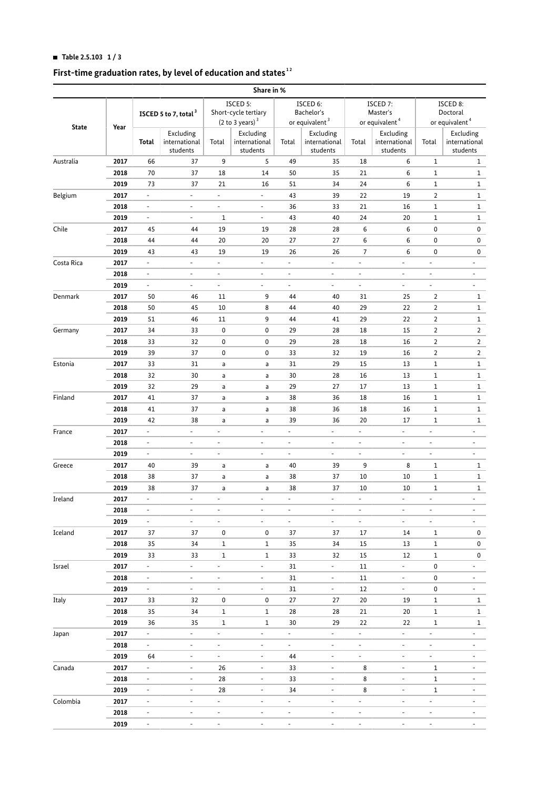## **HI Table 2.5.103 1 / 3**

#### **First-time graduation rates, by level of education and states  [1](#page-2-0) [2](#page-2-1)**

|                                       |              |                                  |                                        |                                                                 | Share in %                             |                                |                                        |                                                    |                                        |                                                    |                                        |
|---------------------------------------|--------------|----------------------------------|----------------------------------------|-----------------------------------------------------------------|----------------------------------------|--------------------------------|----------------------------------------|----------------------------------------------------|----------------------------------------|----------------------------------------------------|----------------------------------------|
| <b>State</b>                          | Year         | ISCED 5 to 7, total <sup>3</sup> |                                        | ISCED 5:<br>Short-cycle tertiary<br>(2 to 3 years) <sup>3</sup> |                                        | ISCED 6:<br>Bachelor's         |                                        | ISCED 7:<br>Master's<br>or equivalent <sup>4</sup> |                                        | ISCED 8:<br>Doctoral<br>or equivalent <sup>4</sup> |                                        |
|                                       |              |                                  |                                        |                                                                 |                                        |                                | or equivalent <sup>3</sup>             |                                                    |                                        |                                                    |                                        |
|                                       |              | Total                            | Excluding<br>international<br>students | Total                                                           | Excluding<br>international<br>students | Total                          | Excluding<br>international<br>students | Total                                              | Excluding<br>international<br>students | Total                                              | Excluding<br>international<br>students |
| Australia                             | 2017         | 66                               | 37                                     | 9                                                               | 5                                      | 49                             | 35                                     | 18                                                 | 6                                      | $\mathbf{1}$                                       | $\mathbf{1}$                           |
|                                       | 2018         | 70                               | 37                                     | 18                                                              | 14                                     | 50                             | 35                                     | 21                                                 | 6                                      | $\mathbf{1}$                                       | $\mathbf{1}$                           |
|                                       | 2019         | 73                               | 37                                     | 21                                                              | 16                                     | 51                             | 34                                     | 24                                                 | 6                                      | $\mathbf{1}$                                       | $\mathbf{1}$                           |
| Belgium                               | 2017         | $\overline{\phantom{a}}$         | $\overline{\phantom{a}}$               | $\blacksquare$                                                  | $\overline{\phantom{a}}$               | 43                             | 39                                     | 22                                                 | 19                                     | $\overline{2}$                                     | $\mathbf{1}$                           |
|                                       | 2018         | $\overline{\phantom{a}}$         | $\overline{\phantom{a}}$               | $\blacksquare$                                                  | $\overline{\phantom{a}}$               | 36                             | 33                                     | 21                                                 | 16                                     | $\mathbf{1}$                                       | $\mathbf{1}$                           |
|                                       | 2019         | $\overline{\phantom{a}}$         | $\overline{\phantom{a}}$               | $\mathbf{1}$                                                    | $\equiv$                               | 43                             | 40                                     | 24                                                 | 20                                     | $\mathbf{1}$                                       | $\mathbf{1}$                           |
| Chile                                 | 2017         | 45                               | 44                                     | 19                                                              | 19                                     | 28                             | 28                                     | 6                                                  | 6                                      | 0                                                  | 0                                      |
|                                       | 2018         | 44                               | 44                                     | 20                                                              | 20                                     | 27                             | 27                                     | 6                                                  | 6                                      | 0                                                  | 0                                      |
|                                       | 2019         | 43                               | 43                                     | 19                                                              | 19                                     | 26                             | 26                                     | $\overline{7}$                                     | 6                                      | 0                                                  | 0                                      |
| Costa Rica                            | 2017         | $\overline{\phantom{a}}$         | $\overline{\phantom{a}}$               | $\overline{\phantom{a}}$                                        | $\overline{\phantom{a}}$               | $\overline{a}$                 | ÷,                                     | $\overline{\phantom{a}}$                           | $\overline{\phantom{a}}$               | $\overline{\phantom{a}}$                           | $\overline{\phantom{a}}$               |
|                                       | 2018         | $\overline{\phantom{a}}$         | $\overline{\phantom{a}}$               | $\overline{\phantom{a}}$                                        | $\blacksquare$                         | $\overline{\phantom{a}}$       | $\frac{1}{2}$                          | $\overline{\phantom{a}}$                           | $\overline{\phantom{0}}$               | $\overline{\phantom{a}}$                           | $\overline{\phantom{a}}$               |
|                                       | 2019         | $\overline{\phantom{a}}$         | $\overline{\phantom{a}}$               | $\overline{\phantom{a}}$                                        | $\overline{\phantom{a}}$               | $\blacksquare$                 | ÷,                                     | $\overline{\phantom{a}}$                           | $\overline{\phantom{a}}$               | $\overline{\phantom{a}}$                           | $\overline{\phantom{a}}$               |
| Denmark                               | 2017         | 50                               | 46                                     | 11                                                              | 9                                      | 44                             | 40                                     | 31                                                 | 25                                     | $\overline{2}$                                     | $\mathbf{1}$                           |
|                                       | 2018         | 50                               | 45                                     | 10                                                              | 8                                      | 44                             | 40                                     | 29                                                 | 22                                     | $\overline{2}$                                     | $\mathbf{1}$                           |
|                                       | 2019         | 51                               | 46                                     | 11                                                              | 9                                      | 44                             | 41                                     | 29                                                 | 22                                     | $\overline{2}$                                     | $\mathbf{1}$                           |
| Germany                               | 2017         | 34                               | 33                                     | 0                                                               | 0                                      | 29                             | 28                                     | 18                                                 | 15                                     | $\overline{2}$                                     | $\overline{2}$                         |
|                                       | 2018         | 33                               | 32                                     | 0                                                               | 0                                      | 29                             | 28                                     | 18                                                 | 16                                     | $\overline{2}$                                     | $\overline{2}$                         |
|                                       | 2019         | 39                               | 37                                     | 0                                                               | 0                                      | 33                             | 32                                     | 19                                                 | 16                                     | $\overline{2}$                                     | $\overline{2}$                         |
| Estonia                               | 2017         | 33                               | 31                                     | a                                                               | a                                      | 31                             | 29                                     | 15                                                 | 13                                     | $\mathbf{1}$                                       | $\mathbf{1}$                           |
|                                       | 2018         | 32                               | 30                                     | a                                                               | a                                      | 30                             | 28                                     | 16                                                 | 13                                     | $\mathbf{1}$                                       | $\mathbf{1}$                           |
|                                       |              | 32                               |                                        |                                                                 |                                        |                                | 27                                     | 17                                                 | 13                                     | $\mathbf{1}$                                       | $\mathbf{1}$                           |
|                                       | 2019<br>2017 |                                  | 29                                     | a                                                               | a                                      | 29                             |                                        |                                                    |                                        |                                                    |                                        |
| Finland                               |              | 41                               | 37                                     | a                                                               | a                                      | 38                             | 36                                     | 18                                                 | 16                                     | $\mathbf{1}$                                       | $\mathbf{1}$                           |
|                                       | 2018         | 41                               | 37                                     | a                                                               | a                                      | 38                             | 36                                     | 18                                                 | 16                                     | $\mathbf{1}$                                       | $\mathbf{1}$                           |
|                                       | 2019         | 42                               | 38<br>$\overline{\phantom{a}}$         | a                                                               | a<br>÷,                                | 39<br>$\overline{\phantom{a}}$ | 36                                     | 20<br>$\overline{\phantom{a}}$                     | 17                                     | $\mathbf{1}$                                       | $\mathbf{1}$                           |
| France                                | 2017         | $\overline{\phantom{a}}$         |                                        | $\blacksquare$                                                  |                                        |                                | ÷,                                     |                                                    | $\overline{\phantom{a}}$               | $\blacksquare$                                     | $\overline{\phantom{a}}$               |
|                                       | 2018         | $\overline{\phantom{a}}$         | $\overline{\phantom{a}}$               | $\blacksquare$                                                  | $\overline{\phantom{a}}$               | $\overline{\phantom{a}}$       | ÷,                                     | $\overline{\phantom{a}}$                           | ÷,                                     | $\overline{\phantom{a}}$                           | $\overline{\phantom{a}}$               |
|                                       | 2019         | $\overline{\phantom{a}}$         | $\overline{\phantom{a}}$               | $\overline{\phantom{a}}$                                        | $\overline{\phantom{a}}$               | $\overline{\phantom{a}}$       | $\overline{\phantom{a}}$               | $\overline{\phantom{a}}$                           | $\overline{\phantom{a}}$               | ÷,                                                 | $\overline{\phantom{a}}$               |
| Greece                                | 2017         | 40                               | 39                                     | a                                                               | a                                      | 40                             | 39                                     | 9                                                  | 8                                      | 1                                                  | $\mathbf{1}$                           |
|                                       | 2018         | 38                               | 37                                     | a                                                               | a                                      | 38                             | 37                                     | 10                                                 | 10                                     | $1\,$                                              | $\mathbf{1}$                           |
|                                       | 2019         | 38                               | 37                                     | a                                                               | a                                      | 38                             | 37                                     | 10                                                 | 10                                     | $1\,$                                              | $\mathbf{1}$                           |
| Ireland<br>Iceland<br>Israel<br>Italy | 2017         | $\overline{\phantom{a}}$         | $\overline{\phantom{a}}$               | $\overline{\phantom{a}}$                                        | $\bar{\phantom{a}}$                    | ÷,                             | ÷,                                     | $\overline{\phantom{a}}$                           | ÷,                                     | $\overline{\phantom{a}}$                           | $\overline{a}$                         |
|                                       | 2018         | $\overline{\phantom{a}}$         |                                        |                                                                 |                                        |                                |                                        |                                                    |                                        |                                                    |                                        |
|                                       | 2019         | ÷,                               | ÷.                                     | ÷                                                               | ÷.                                     | $\overline{\phantom{a}}$       | $\frac{1}{2}$                          | $\overline{\phantom{a}}$                           | ÷,                                     |                                                    |                                        |
|                                       | 2017         | 37                               | 37                                     | 0                                                               | 0                                      | 37                             | 37                                     | 17                                                 | 14                                     | $\mathbf{1}$                                       | 0                                      |
|                                       | 2018         | 35                               | 34                                     | $\mathbf{1}$                                                    | $\mathbf{1}$                           | 35                             | 34                                     | 15                                                 | 13                                     | $\mathbf{1}$                                       | 0                                      |
|                                       | 2019         | 33                               | 33                                     | $\mathbf 1$                                                     | $\mathbf{1}$                           | 33                             | 32                                     | 15                                                 | 12                                     | $\mathbf{1}$                                       | 0                                      |
|                                       | 2017         | ÷.                               | $\overline{\phantom{a}}$               | $\overline{\phantom{a}}$                                        | $\blacksquare$                         | 31                             | ÷,                                     | 11                                                 | ÷,                                     | $\pmb{0}$                                          | ÷,                                     |
|                                       | 2018         | ÷,                               | $\overline{\phantom{a}}$               | ÷,                                                              | ÷,                                     | 31                             | $\frac{1}{2}$                          | 11                                                 | ÷,                                     | $\pmb{0}$                                          |                                        |
|                                       | 2019         | $\overline{\phantom{a}}$         | $\overline{\phantom{a}}$               | $\blacksquare$                                                  | ÷,                                     | 31                             | $\mathcal{L}_{\mathcal{A}}$            | 12                                                 | $\overline{\phantom{a}}$               | 0                                                  | ÷,                                     |
|                                       | 2017         | 33                               | 32                                     | 0                                                               | 0                                      | 27                             | 27                                     | 20                                                 | 19                                     | $\mathbf{1}$                                       | $\mathbf{1}$                           |
|                                       | 2018         | 35                               | 34                                     | $\,1\,$                                                         | $\mathbf{1}$                           | 28                             | 28                                     | 21                                                 | 20                                     | $\mathbf{1}$                                       | $\mathbf{1}$                           |
|                                       | 2019         | 36                               | 35                                     | $\mathbf 1$                                                     | $\mathbf{1}$                           | 30                             | 29                                     | 22                                                 | 22                                     | $\mathbf{1}$                                       | $\mathbf{1}$                           |
| Japan                                 | 2017         | $\mathcal{L}_{\mathcal{A}}$      | $\overline{\phantom{a}}$               | $\overline{\phantom{a}}$                                        | $\overline{\phantom{0}}$               | $\mathcal{L}_{\mathcal{A}}$    | $\frac{1}{2}$                          | $\overline{\phantom{a}}$                           | $\overline{\phantom{a}}$               | $\overline{\phantom{0}}$                           |                                        |
|                                       | 2018         | ÷.                               | ÷,                                     | $\overline{\phantom{a}}$                                        | ÷                                      | $\sim$                         | ÷,                                     | $\bar{\phantom{a}}$                                | $\overline{\phantom{m}}$               | ÷                                                  |                                        |
|                                       | 2019         | 64                               | $\overline{a}$                         | $\blacksquare$                                                  | $\overline{\phantom{0}}$               | 44                             | $\overline{\phantom{0}}$               | $\overline{\phantom{a}}$                           | $\overline{\phantom{m}}$               | L,                                                 |                                        |
| Canada                                | 2017         | ÷.                               | $\overline{\phantom{m}}$               | 26                                                              | $\overline{\phantom{a}}$               | 33                             | ÷,                                     | 8                                                  | $\overline{\phantom{m}}$               | $\mathbf{1}$                                       |                                        |
|                                       | 2018         | $\overline{\phantom{a}}$         | $\overline{\phantom{a}}$               | 28                                                              | $\overline{\phantom{0}}$               | 33                             | $\overline{\phantom{0}}$               | 8                                                  | $\overline{\phantom{0}}$               | $\mathbf{1}$                                       |                                        |
|                                       | 2019         | $\overline{\phantom{a}}$         | $\overline{\phantom{m}}$               | 28                                                              | $\overline{\phantom{a}}$               | 34                             | ÷                                      | 8                                                  | $\overline{\phantom{m}}$               | $\mathbf{1}$                                       |                                        |
| Colombia                              | 2017         | $\blacksquare$                   | ÷,                                     | $\overline{\phantom{a}}$                                        | ÷,                                     | $\overline{\phantom{a}}$       | $\overline{\phantom{0}}$               | $\blacksquare$                                     | ÷,                                     | ÷,                                                 |                                        |
|                                       | 2018         | $\overline{\phantom{a}}$         | $\overline{\phantom{a}}$               | $\overline{\phantom{m}}$                                        | $\overline{\phantom{a}}$               | ÷,                             | ÷,                                     | $\overline{\phantom{a}}$                           | ÷,                                     | $\overline{\phantom{0}}$                           |                                        |
|                                       | 2019         | $\overline{\phantom{a}}$         | $\qquad \qquad \blacksquare$           | $\overline{\phantom{m}}$                                        | $\overline{\phantom{a}}$               | $\qquad \qquad \blacksquare$   | $\frac{1}{2}$                          | ÷                                                  | $\overline{\phantom{0}}$               | $\frac{1}{2}$                                      |                                        |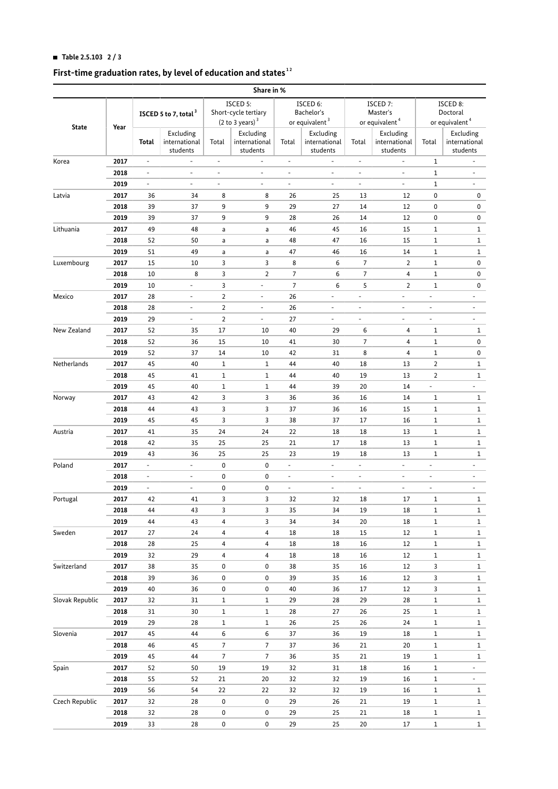# **HI Table 2.5.103 2 / 3**

#### **First-time graduation rates, by level of education and states  [1](#page-2-0) [2](#page-2-1)**

|                       |      |                                  |                                        |                                                                         | Share in %                             |                                                      |                                        |                                                    |                                        |                                                    |                                        |
|-----------------------|------|----------------------------------|----------------------------------------|-------------------------------------------------------------------------|----------------------------------------|------------------------------------------------------|----------------------------------------|----------------------------------------------------|----------------------------------------|----------------------------------------------------|----------------------------------------|
| <b>State</b>          | Year | ISCED 5 to 7, total <sup>3</sup> |                                        | ISCED 5:<br>Short-cycle tertiary<br>$(2 \text{ to } 3 \text{ years})^3$ |                                        | ISCED 6:<br>Bachelor's<br>or equivalent <sup>3</sup> |                                        | ISCED 7:<br>Master's<br>or equivalent <sup>4</sup> |                                        | ISCED 8:<br>Doctoral<br>or equivalent <sup>4</sup> |                                        |
|                       |      | Total                            | Excluding<br>international<br>students | Total                                                                   | Excluding<br>international<br>students | Total                                                | Excluding<br>international<br>students | Total                                              | Excluding<br>international<br>students | Total                                              | Excluding<br>international<br>students |
| Korea                 | 2017 | $\blacksquare$                   | $\overline{\phantom{a}}$               | $\overline{\phantom{a}}$                                                | $\blacksquare$                         | $\overline{\phantom{a}}$                             | $\overline{\phantom{a}}$               | $\overline{\phantom{a}}$                           | $\overline{\phantom{a}}$               | $\mathbf{1}$                                       | $\overline{\phantom{a}}$               |
|                       | 2018 | $\overline{\phantom{a}}$         | ÷,                                     | $\overline{\phantom{a}}$                                                | $\overline{\phantom{a}}$               | $\overline{\phantom{a}}$                             | $\overline{\phantom{a}}$               | $\overline{\phantom{a}}$                           | $\blacksquare$                         | $\mathbf{1}$                                       | $\overline{\phantom{a}}$               |
|                       | 2019 | $\overline{\phantom{a}}$         | $\overline{a}$                         | $\overline{\phantom{a}}$                                                | $\blacksquare$                         | $\overline{\phantom{a}}$                             | $\overline{\phantom{a}}$               | $\overline{\phantom{a}}$                           | $\overline{\phantom{a}}$               | $\mathbf{1}$                                       | ÷.                                     |
| Latvia                | 2017 | 36                               | 34                                     | 8                                                                       | 8                                      | 26                                                   | 25                                     | 13                                                 | 12                                     | 0                                                  | 0                                      |
|                       | 2018 | 39                               | 37                                     | 9                                                                       | 9                                      | 29                                                   | 27                                     | 14                                                 | 12                                     | 0                                                  | 0                                      |
|                       | 2019 | 39                               | 37                                     | 9                                                                       | 9                                      | 28                                                   | 26                                     | 14                                                 | 12                                     | 0                                                  | 0                                      |
| Lithuania             | 2017 | 49                               | 48                                     | a                                                                       | a                                      | 46                                                   | 45                                     | 16                                                 | 15                                     | 1                                                  | 1                                      |
|                       | 2018 | 52                               | 50                                     | a                                                                       | a                                      | 48                                                   | 47                                     | 16                                                 | 15                                     | 1                                                  | $\mathbf{1}$                           |
|                       | 2019 | 51                               | 49                                     | a                                                                       | a                                      | 47                                                   | 46                                     | 16                                                 | 14                                     | 1                                                  | 1                                      |
| Luxembourg            | 2017 | 15                               | 10                                     | 3                                                                       | 3                                      | 8                                                    | 6                                      | 7                                                  | 2                                      | 1                                                  | 0                                      |
|                       | 2018 | 10                               | 8                                      | 3                                                                       | $\overline{2}$                         | $\overline{7}$                                       | 6                                      | 7                                                  | 4                                      | 1                                                  | 0                                      |
|                       | 2019 | 10                               | $\frac{1}{2}$                          | 3                                                                       | $\qquad \qquad \blacksquare$           | $\overline{7}$                                       | 6                                      | 5                                                  | 2                                      | $\mathbf 1$                                        | 0                                      |
| Mexico                | 2017 | 28                               | $\overline{\phantom{a}}$               | $\overline{2}$                                                          | $\overline{\phantom{a}}$               | 26                                                   | $\overline{\phantom{a}}$               | $\overline{\phantom{a}}$                           | $\blacksquare$                         | ÷,                                                 | $\overline{\phantom{a}}$               |
|                       | 2018 | 28                               | $\overline{\phantom{a}}$               | $\overline{2}$                                                          | $\overline{\phantom{0}}$               | 26                                                   | $\overline{\phantom{a}}$               | $\overline{\phantom{a}}$                           | $\overline{\phantom{a}}$               | $\overline{\phantom{0}}$                           | $\overline{\phantom{a}}$               |
|                       | 2019 | 29                               | ÷,                                     | $\overline{2}$                                                          | $\overline{\phantom{a}}$               | 27                                                   | $\overline{\phantom{a}}$               | $\overline{\phantom{a}}$                           | $\overline{\phantom{a}}$               | ÷,                                                 | ÷.                                     |
| New Zealand           | 2017 | 52                               | 35                                     | 17                                                                      | 10                                     | 40                                                   | 29                                     | 6                                                  | 4                                      | 1                                                  | $\mathbf{1}$                           |
|                       | 2018 | 52                               | 36                                     | 15                                                                      | 10                                     | 41                                                   | 30                                     | 7                                                  | 4                                      | $\mathbf 1$                                        | 0                                      |
|                       | 2019 | 52                               | 37                                     | 14                                                                      | 10                                     | 42                                                   | 31                                     | 8                                                  | 4                                      | 1                                                  | 0                                      |
| Netherlands           | 2017 | 45                               | 40                                     | $\mathbf{1}$                                                            | 1                                      | 44                                                   | 40                                     | 18                                                 | 13                                     | $\overline{2}$                                     | 1                                      |
|                       | 2018 | 45                               | 41                                     | $1\,$                                                                   | 1                                      | 44                                                   | 40                                     | 19                                                 | 13                                     | $\overline{2}$                                     | $\mathbf{1}$                           |
|                       | 2019 | 45                               | 40                                     | $1\,$                                                                   | 1                                      | 44                                                   | 39                                     | 20                                                 | 14                                     | $\frac{1}{2}$                                      | $\overline{\phantom{a}}$               |
|                       | 2017 | 43                               | 42                                     | 3                                                                       | 3                                      |                                                      | 36                                     |                                                    | 14                                     |                                                    |                                        |
| Norway                |      |                                  |                                        |                                                                         | 3                                      | 36                                                   |                                        | 16                                                 |                                        | 1                                                  | $\mathbf{1}$                           |
|                       | 2018 | 44                               | 43                                     | 3                                                                       |                                        | 37                                                   | 36                                     | 16                                                 | 15                                     | 1                                                  | $\mathbf{1}$                           |
|                       | 2019 | 45                               | 45                                     | 3                                                                       | 3                                      | 38                                                   | 37                                     | 17                                                 | 16                                     | 1                                                  | $\mathbf{1}$                           |
| Austria               | 2017 | 41                               | 35                                     | 24                                                                      | 24                                     | 22                                                   | 18                                     | 18                                                 | 13                                     | 1                                                  | $\mathbf{1}$                           |
|                       | 2018 | 42                               | 35                                     | 25                                                                      | 25                                     | 21                                                   | 17                                     | 18                                                 | 13                                     | 1                                                  | 1                                      |
|                       | 2019 | 43                               | 36                                     | 25                                                                      | 25                                     | 23                                                   | 19                                     | 18                                                 | 13                                     | $\mathbf 1$                                        | 1                                      |
| Poland                | 2017 | $\overline{\phantom{a}}$         | $\overline{\phantom{0}}$               | 0                                                                       | 0                                      | $\overline{\phantom{a}}$                             | $\overline{\phantom{a}}$               | $\overline{\phantom{a}}$                           | $\overline{\phantom{a}}$               | ÷                                                  | $\overline{\phantom{a}}$               |
|                       | 2018 | $\overline{\phantom{a}}$         | $\overline{\phantom{0}}$               | 0                                                                       | 0                                      | $\overline{\phantom{a}}$                             | $\overline{\phantom{a}}$               | $\overline{\phantom{a}}$                           | $\overline{\phantom{a}}$               | -                                                  | $\overline{\phantom{a}}$               |
|                       | 2019 | $\overline{\phantom{a}}$         | ÷,                                     | 0                                                                       | 0                                      | $\overline{\phantom{a}}$                             | $\blacksquare$                         | $\overline{\phantom{a}}$                           | $\overline{\phantom{a}}$               | ÷                                                  | $\overline{\phantom{a}}$               |
| Portugal              | 2017 | 42                               | 41                                     | 3                                                                       | 3                                      | 32                                                   | 32                                     | 18                                                 | 17                                     | $\mathbf 1$                                        | $\mathbf 1$                            |
| Sweden<br>Switzerland | 2018 | 44                               | 43                                     | 3                                                                       | 3                                      | 35                                                   | 34                                     | 19                                                 | 18                                     | 1                                                  | $\mathbf{1}$                           |
|                       | 2019 | 44                               | 43                                     | 4                                                                       | 3                                      | 34                                                   | 34                                     | 20                                                 | 18                                     | $\mathbf 1$                                        | $\mathbf{1}$                           |
|                       | 2017 | 27                               | 24                                     | 4                                                                       | 4                                      | 18                                                   | 18                                     | 15                                                 | 12                                     | $\,1$                                              | $\mathbf{1}$                           |
|                       | 2018 | 28                               | 25                                     | 4                                                                       | 4                                      | 18                                                   | 18                                     | 16                                                 | 12                                     | $\,1$                                              | $\mathbf 1$                            |
|                       | 2019 | 32                               | 29                                     | 4                                                                       | 4                                      | 18                                                   | 18                                     | 16                                                 | 12                                     | $\,1$                                              | $\mathbf{1}$                           |
|                       | 2017 | 38                               | 35                                     | 0                                                                       | 0                                      | 38                                                   | 35                                     | 16                                                 | 12                                     | 3                                                  | $\mathbf{1}$                           |
|                       | 2018 | 39                               | 36                                     | 0                                                                       | 0                                      | 39                                                   | 35                                     | 16                                                 | 12                                     | 3                                                  | $\mathbf{1}$                           |
|                       | 2019 | 40                               | 36                                     | 0                                                                       | 0                                      | 40                                                   | 36                                     | 17                                                 | 12                                     | 3                                                  | $\mathbf{1}$                           |
| Slovak Republic       | 2017 | 32                               | 31                                     | $1\,$                                                                   | 1                                      | 29                                                   | 28                                     | 29                                                 | 28                                     | $\mathbf 1$                                        | $\mathbf{1}$                           |
|                       | 2018 | 31                               | 30                                     | $1\,$                                                                   | 1                                      | 28                                                   | 27                                     | 26                                                 | 25                                     | $\,1$                                              | $\mathbf{1}$                           |
|                       | 2019 | 29                               | 28                                     | $1\,$                                                                   | 1                                      | 26                                                   | 25                                     | 26                                                 | 24                                     | $\,1$                                              | $\mathbf{1}$                           |
| Slovenia              | 2017 | 45                               | 44                                     | 6                                                                       | 6                                      | 37                                                   | 36                                     | 19                                                 | 18                                     | $\mathbf 1$                                        | $\mathbf{1}$                           |
|                       | 2018 | 46                               | 45                                     | $\overline{7}$                                                          | 7                                      | 37                                                   | 36                                     | 21                                                 | 20                                     | $\,1$                                              | $\mathbf{1}$                           |
|                       | 2019 | 45                               | 44                                     | $\overline{7}$                                                          | 7                                      | 36                                                   | 35                                     | 21                                                 | 19                                     | $\,1$                                              | $\mathbf{1}$                           |
| Spain                 | 2017 | 52                               | 50                                     | 19                                                                      | 19                                     | 32                                                   | 31                                     | 18                                                 | 16                                     | $\mathbf 1$                                        | $\sim$                                 |
|                       | 2018 | 55                               | 52                                     | 21                                                                      | 20                                     | 32                                                   | 32                                     | 19                                                 | 16                                     | $\mathbf 1$                                        | $\overline{\phantom{a}}$               |
|                       | 2019 | 56                               | 54                                     | 22                                                                      | 22                                     | 32                                                   | 32                                     | 19                                                 | 16                                     | $\,1$                                              | $\mathbf{1}$                           |
| Czech Republic        | 2017 | 32                               | 28                                     | 0                                                                       | 0                                      | 29                                                   | 26                                     | 21                                                 | 19                                     | $\,1$                                              | $\mathbf{1}$                           |
|                       | 2018 | 32                               | 28                                     | 0                                                                       | 0                                      | 29                                                   | 25                                     | 21                                                 | 18                                     | $\mathbf 1$                                        | $\mathbf{1}$                           |
|                       | 2019 | 33                               | 28                                     | 0                                                                       | 0                                      | 29                                                   | 25                                     | 20                                                 | 17                                     | $\mathbf 1$                                        | $\mathbf{1}$                           |